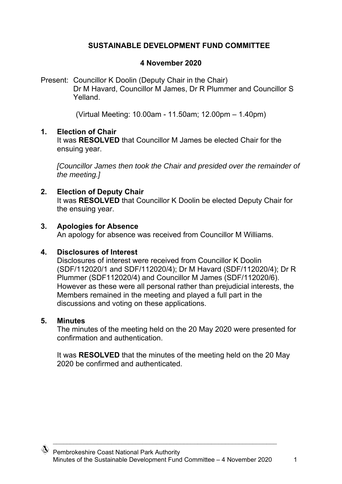# **SUSTAINABLE DEVELOPMENT FUND COMMITTEE**

### **4 November 2020**

Present: Councillor K Doolin (Deputy Chair in the Chair) Dr M Havard, Councillor M James, Dr R Plummer and Councillor S Yelland.

(Virtual Meeting: 10.00am - 11.50am; 12.00pm – 1.40pm)

#### **1. Election of Chair**

It was **RESOLVED** that Councillor M James be elected Chair for the ensuing year.

*[Councillor James then took the Chair and presided over the remainder of the meeting.]* 

## **2. Election of Deputy Chair**

It was **RESOLVED** that Councillor K Doolin be elected Deputy Chair for the ensuing year.

### **3. Apologies for Absence**

An apology for absence was received from Councillor M Williams.

#### **4. Disclosures of Interest**

Disclosures of interest were received from Councillor K Doolin (SDF/112020/1 and SDF/112020/4); Dr M Havard (SDF/112020/4); Dr R Plummer (SDF112020/4) and Councillor M James (SDF/112020/6). However as these were all personal rather than prejudicial interests, the Members remained in the meeting and played a full part in the discussions and voting on these applications.

#### **5. Minutes**

The minutes of the meeting held on the 20 May 2020 were presented for confirmation and authentication.

It was **RESOLVED** that the minutes of the meeting held on the 20 May 2020 be confirmed and authenticated.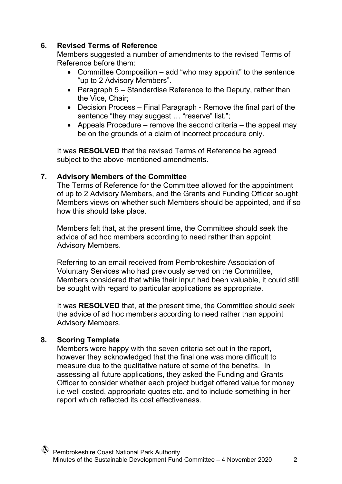# **6. Revised Terms of Reference**

Members suggested a number of amendments to the revised Terms of Reference before them:

- Committee Composition add "who may appoint" to the sentence "up to 2 Advisory Members".
- Paragraph 5 Standardise Reference to the Deputy, rather than the Vice, Chair;
- Decision Process Final Paragraph Remove the final part of the sentence "they may suggest ... "reserve" list.";
- Appeals Procedure remove the second criteria the appeal may be on the grounds of a claim of incorrect procedure only.

It was **RESOLVED** that the revised Terms of Reference be agreed subject to the above-mentioned amendments.

## **7. Advisory Members of the Committee**

The Terms of Reference for the Committee allowed for the appointment of up to 2 Advisory Members, and the Grants and Funding Officer sought Members views on whether such Members should be appointed, and if so how this should take place.

Members felt that, at the present time, the Committee should seek the advice of ad hoc members according to need rather than appoint Advisory Members.

Referring to an email received from Pembrokeshire Association of Voluntary Services who had previously served on the Committee, Members considered that while their input had been valuable, it could still be sought with regard to particular applications as appropriate.

It was **RESOLVED** that, at the present time, the Committee should seek the advice of ad hoc members according to need rather than appoint Advisory Members.

# **8. Scoring Template**

Members were happy with the seven criteria set out in the report, however they acknowledged that the final one was more difficult to measure due to the qualitative nature of some of the benefits. In assessing all future applications, they asked the Funding and Grants Officer to consider whether each project budget offered value for money i.e well costed, appropriate quotes etc. and to include something in her report which reflected its cost effectiveness.

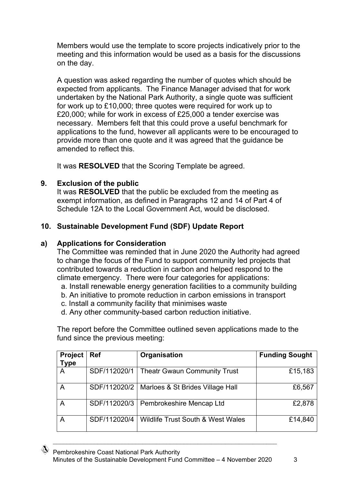Members would use the template to score projects indicatively prior to the meeting and this information would be used as a basis for the discussions on the day.

A question was asked regarding the number of quotes which should be expected from applicants. The Finance Manager advised that for work undertaken by the National Park Authority, a single quote was sufficient for work up to £10,000; three quotes were required for work up to £20,000; while for work in excess of £25,000 a tender exercise was necessary. Members felt that this could prove a useful benchmark for applications to the fund, however all applicants were to be encouraged to provide more than one quote and it was agreed that the guidance be amended to reflect this.

It was **RESOLVED** that the Scoring Template be agreed.

## **9. Exclusion of the public**

It was **RESOLVED** that the public be excluded from the meeting as exempt information, as defined in Paragraphs 12 and 14 of Part 4 of Schedule 12A to the Local Government Act, would be disclosed.

# **10. Sustainable Development Fund (SDF) Update Report**

## **a) Applications for Consideration**

The Committee was reminded that in June 2020 the Authority had agreed to change the focus of the Fund to support community led projects that contributed towards a reduction in carbon and helped respond to the climate emergency. There were four categories for applications:

- a. Install renewable energy generation facilities to a community building
- b. An initiative to promote reduction in carbon emissions in transport
- c. Install a community facility that minimises waste
- d. Any other community-based carbon reduction initiative.

The report before the Committee outlined seven applications made to the fund since the previous meeting:

| Project<br>Type | <b>Ref</b>   | Organisation                                    | <b>Funding Sought</b> |
|-----------------|--------------|-------------------------------------------------|-----------------------|
| A               | SDF/112020/1 | <b>Theatr Gwaun Community Trust</b>             | £15,183               |
| Α               |              | SDF/112020/2   Marloes & St Brides Village Hall | £6,567                |
| A               | SDF/112020/3 | Pembrokeshire Mencap Ltd                        | £2,878                |
| A               | SDF/112020/4 | <b>Wildlife Trust South &amp; West Wales</b>    | £14,840               |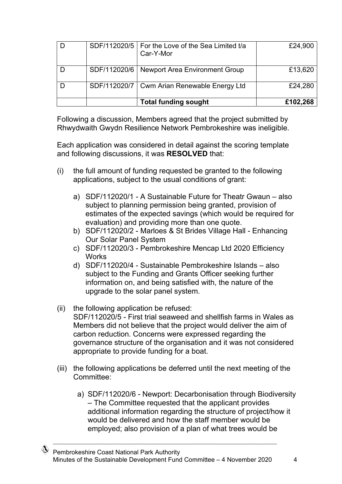|  | SDF/112020/5   For the Love of the Sea Limited t/a<br>Car-Y-Mor | £24,900  |
|--|-----------------------------------------------------------------|----------|
|  | SDF/112020/6   Newport Area Environment Group                   | £13,620  |
|  | SDF/112020/7   Cwm Arian Renewable Energy Ltd                   | £24,280  |
|  | <b>Total funding sought</b>                                     | £102,268 |

Following a discussion, Members agreed that the project submitted by Rhwydwaith Gwydn Resilience Network Pembrokeshire was ineligible.

Each application was considered in detail against the scoring template and following discussions, it was **RESOLVED** that:

- (i) the full amount of funding requested be granted to the following applications, subject to the usual conditions of grant:
	- a) SDF/112020/1 A Sustainable Future for Theatr Gwaun also subject to planning permission being granted, provision of estimates of the expected savings (which would be required for evaluation) and providing more than one quote.
	- b) SDF/112020/2 Marloes & St Brides Village Hall Enhancing Our Solar Panel System
	- c) SDF/112020/3 Pembrokeshire Mencap Ltd 2020 Efficiency **Works**
	- d) SDF/112020/4 Sustainable Pembrokeshire Islands also subject to the Funding and Grants Officer seeking further information on, and being satisfied with, the nature of the upgrade to the solar panel system.
- (ii) the following application be refused: SDF/112020/5 - First trial seaweed and shellfish farms in Wales as Members did not believe that the project would deliver the aim of carbon reduction. Concerns were expressed regarding the governance structure of the organisation and it was not considered appropriate to provide funding for a boat.
- (iii) the following applications be deferred until the next meeting of the Committee:
	- a) SDF/112020/6 Newport: Decarbonisation through Biodiversity – The Committee requested that the applicant provides additional information regarding the structure of project/how it would be delivered and how the staff member would be employed; also provision of a plan of what trees would be